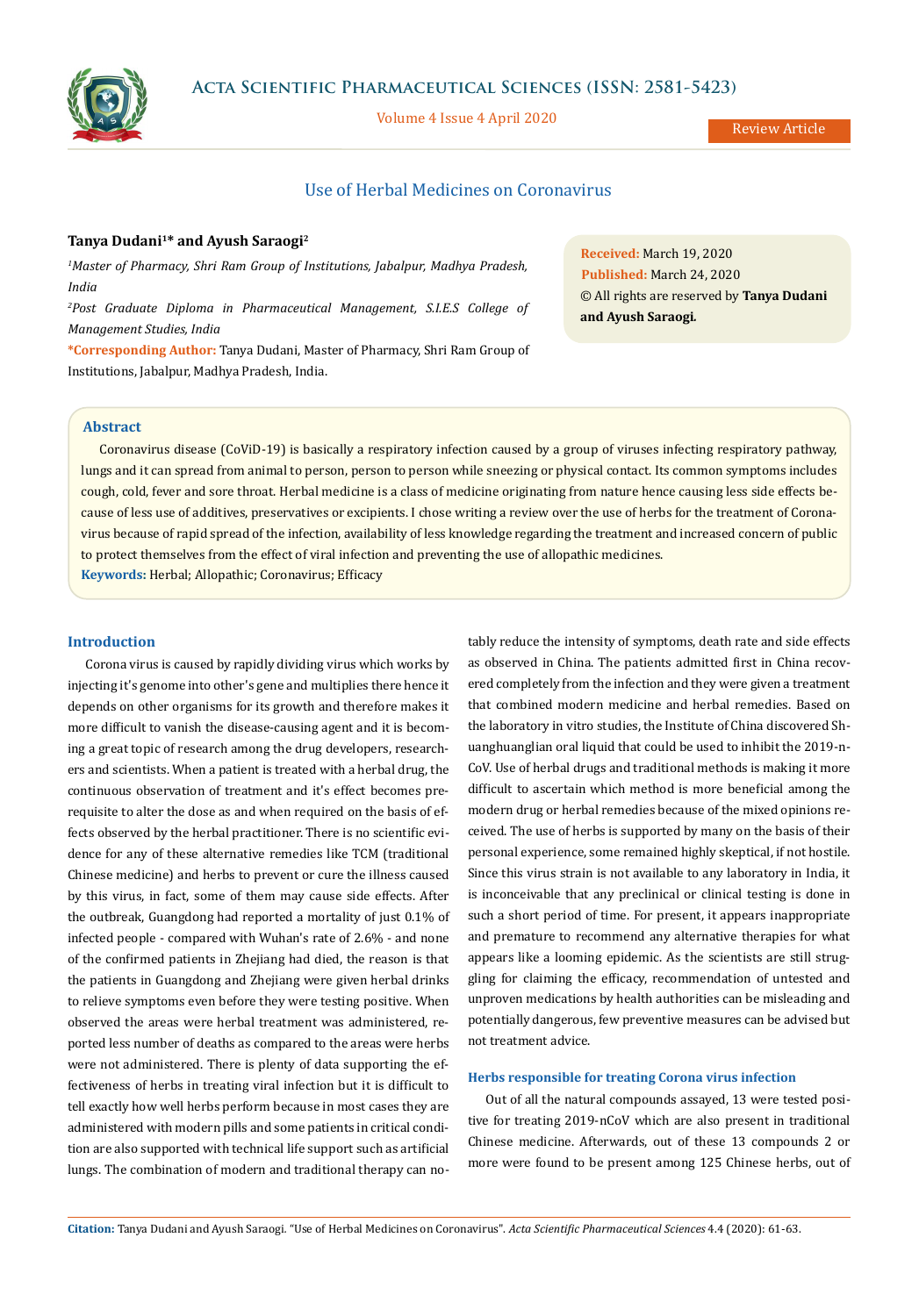

**Acta Scientific Pharmaceutical Sciences (ISSN: 2581-5423)**

Volume 4 Issue 4 April 2020

# Use of Herbal Medicines on Coronavirus

## **Tanya Dudani1\* and Ayush Saraogi2**

*1 Master of Pharmacy, Shri Ram Group of Institutions, Jabalpur, Madhya Pradesh, India*

*2 Post Graduate Diploma in Pharmaceutical Management, S.I.E.S College of Management Studies, India*

**\*Corresponding Author:** Tanya Dudani, Master of Pharmacy, Shri Ram Group of Institutions, Jabalpur, Madhya Pradesh, India.

**Received:** March 19, 2020 **Published:** March 24, 2020 © All rights are reserved by **Tanya Dudani and Ayush Saraogi***.*

# **Abstract**

Coronavirus disease (CoViD-19) is basically a respiratory infection caused by a group of viruses infecting respiratory pathway, lungs and it can spread from animal to person, person to person while sneezing or physical contact. Its common symptoms includes cough, cold, fever and sore throat. Herbal medicine is a class of medicine originating from nature hence causing less side effects because of less use of additives, preservatives or excipients. I chose writing a review over the use of herbs for the treatment of Coronavirus because of rapid spread of the infection, availability of less knowledge regarding the treatment and increased concern of public to protect themselves from the effect of viral infection and preventing the use of allopathic medicines.

**Keywords:** Herbal; Allopathic; Coronavirus; Efficacy

# **Introduction**

Corona virus is caused by rapidly dividing virus which works by injecting it's genome into other's gene and multiplies there hence it depends on other organisms for its growth and therefore makes it more difficult to vanish the disease-causing agent and it is becoming a great topic of research among the drug developers, researchers and scientists. When a patient is treated with a herbal drug, the continuous observation of treatment and it's effect becomes prerequisite to alter the dose as and when required on the basis of effects observed by the herbal practitioner. There is no scientific evidence for any of these alternative remedies like TCM (traditional Chinese medicine) and herbs to prevent or cure the illness caused by this virus, in fact, some of them may cause side effects. After the outbreak, Guangdong had reported a mortality of just 0.1% of infected people - compared with Wuhan's rate of 2.6% - and none of the confirmed patients in Zhejiang had died, the reason is that the patients in Guangdong and Zhejiang were given herbal drinks to relieve symptoms even before they were testing positive. When observed the areas were herbal treatment was administered, reported less number of deaths as compared to the areas were herbs were not administered. There is plenty of data supporting the effectiveness of herbs in treating viral infection but it is difficult to tell exactly how well herbs perform because in most cases they are administered with modern pills and some patients in critical condition are also supported with technical life support such as artificial lungs. The combination of modern and traditional therapy can notably reduce the intensity of symptoms, death rate and side effects as observed in China. The patients admitted first in China recovered completely from the infection and they were given a treatment that combined modern medicine and herbal remedies. Based on the laboratory in vitro studies, the Institute of China discovered Shuanghuanglian oral liquid that could be used to inhibit the 2019-n-CoV. Use of herbal drugs and traditional methods is making it more difficult to ascertain which method is more beneficial among the modern drug or herbal remedies because of the mixed opinions received. The use of herbs is supported by many on the basis of their personal experience, some remained highly skeptical, if not hostile. Since this virus strain is not available to any laboratory in India, it is inconceivable that any preclinical or clinical testing is done in such a short period of time. For present, it appears inappropriate and premature to recommend any alternative therapies for what appears like a looming epidemic. As the scientists are still struggling for claiming the efficacy, recommendation of untested and unproven medications by health authorities can be misleading and potentially dangerous, few preventive measures can be advised but not treatment advice.

### **Herbs responsible for treating Corona virus infection**

Out of all the natural compounds assayed, 13 were tested positive for treating 2019-nCoV which are also present in traditional Chinese medicine. Afterwards, out of these 13 compounds 2 or more were found to be present among 125 Chinese herbs, out of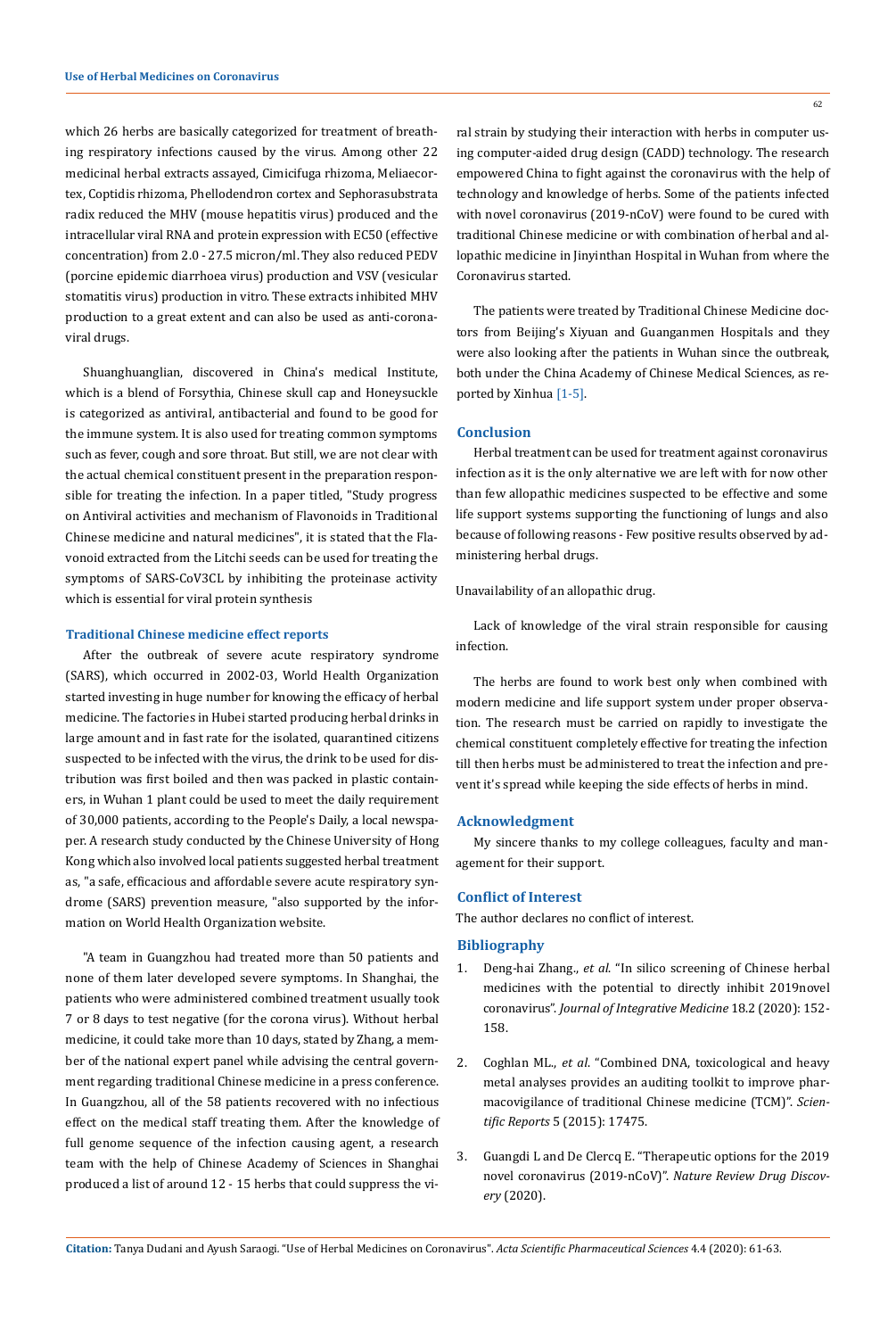which 26 herbs are basically categorized for treatment of breathing respiratory infections caused by the virus. Among other 22 medicinal herbal extracts assayed, Cimicifuga rhizoma, Meliaecortex, Coptidis rhizoma, Phellodendron cortex and Sephorasubstrata radix reduced the MHV (mouse hepatitis virus) produced and the intracellular viral RNA and protein expression with EC50 (effective concentration) from 2.0 - 27.5 micron/ml. They also reduced PEDV (porcine epidemic diarrhoea virus) production and VSV (vesicular stomatitis virus) production in vitro. These extracts inhibited MHV production to a great extent and can also be used as anti-coronaviral drugs.

Shuanghuanglian, discovered in China's medical Institute, which is a blend of Forsythia, Chinese skull cap and Honeysuckle is categorized as antiviral, antibacterial and found to be good for the immune system. It is also used for treating common symptoms such as fever, cough and sore throat. But still, we are not clear with the actual chemical constituent present in the preparation responsible for treating the infection. In a paper titled, "Study progress on Antiviral activities and mechanism of Flavonoids in Traditional Chinese medicine and natural medicines", it is stated that the Flavonoid extracted from the Litchi seeds can be used for treating the symptoms of SARS-CoV3CL by inhibiting the proteinase activity which is essential for viral protein synthesis

#### **Traditional Chinese medicine effect reports**

After the outbreak of severe acute respiratory syndrome (SARS), which occurred in 2002-03, World Health Organization started investing in huge number for knowing the efficacy of herbal medicine. The factories in Hubei started producing herbal drinks in large amount and in fast rate for the isolated, quarantined citizens suspected to be infected with the virus, the drink to be used for distribution was first boiled and then was packed in plastic containers, in Wuhan 1 plant could be used to meet the daily requirement of 30,000 patients, according to the People's Daily, a local newspaper. A research study conducted by the Chinese University of Hong Kong which also involved local patients suggested herbal treatment as, "a safe, efficacious and affordable severe acute respiratory syndrome (SARS) prevention measure, "also supported by the information on World Health Organization website.

"A team in Guangzhou had treated more than 50 patients and none of them later developed severe symptoms. In Shanghai, the patients who were administered combined treatment usually took 7 or 8 days to test negative (for the corona virus). Without herbal medicine, it could take more than 10 days, stated by Zhang, a member of the national expert panel while advising the central government regarding traditional Chinese medicine in a press conference. In Guangzhou, all of the 58 patients recovered with no infectious effect on the medical staff treating them. After the knowledge of full genome sequence of the infection causing agent, a research team with the help of Chinese Academy of Sciences in Shanghai produced a list of around 12 - 15 herbs that could suppress the vi-

ral strain by studying their interaction with herbs in computer using computer-aided drug design (CADD) technology. The research empowered China to fight against the coronavirus with the help of technology and knowledge of herbs. Some of the patients infected with novel coronavirus (2019-nCoV) were found to be cured with traditional Chinese medicine or with combination of herbal and allopathic medicine in Jinyinthan Hospital in Wuhan from where the Coronavirus started.

The patients were treated by Traditional Chinese Medicine doctors from Beijing's Xiyuan and Guanganmen Hospitals and they were also looking after the patients in Wuhan since the outbreak, both under the China Academy of Chinese Medical Sciences, as reported by Xinhua [1-5].

#### **Conclusion**

Herbal treatment can be used for treatment against coronavirus infection as it is the only alternative we are left with for now other than few allopathic medicines suspected to be effective and some life support systems supporting the functioning of lungs and also because of following reasons - Few positive results observed by administering herbal drugs.

Unavailability of an allopathic drug.

Lack of knowledge of the viral strain responsible for causing infection.

The herbs are found to work best only when combined with modern medicine and life support system under proper observation. The research must be carried on rapidly to investigate the chemical constituent completely effective for treating the infection till then herbs must be administered to treat the infection and prevent it's spread while keeping the side effects of herbs in mind.

### **Acknowledgment**

My sincere thanks to my college colleagues, faculty and management for their support.

### **Conflict of Interest**

The author declares no conflict of interest.

### **Bibliography**

- 1. Deng-hai Zhang., *et al*[. "In silico screening of Chinese herbal](https://www.sciencedirect.com/science/article/pii/S2095496420300157) [medicines with the potential to directly inhibit 2019novel](https://www.sciencedirect.com/science/article/pii/S2095496420300157) coronavirus". *[Journal of Integrative Medicine](https://www.sciencedirect.com/science/article/pii/S2095496420300157)* 18.2 (2020): 152- [158.](https://www.sciencedirect.com/science/article/pii/S2095496420300157)
- 2. Coghlan ML., *et al*[. "Combined DNA, toxicological and heavy](https://www.nature.com/articles/srep17475) [metal analyses provides an auditing toolkit to improve phar](https://www.nature.com/articles/srep17475)[macovigilance of traditional Chinese medicine \(TCM\)".](https://www.nature.com/articles/srep17475) *Scientific Reports* [5 \(2015\): 17475.](https://www.nature.com/articles/srep17475)
- 3. [Guangdi L and De Clercq E. "Therapeutic options for the 2019](https://www.nature.com/articles/d41573-020-00016-0) novel coronavirus (2019-nCoV)". *[Nature Review Drug Discov](https://www.nature.com/articles/d41573-020-00016-0)ery* [\(2020\).](https://www.nature.com/articles/d41573-020-00016-0)